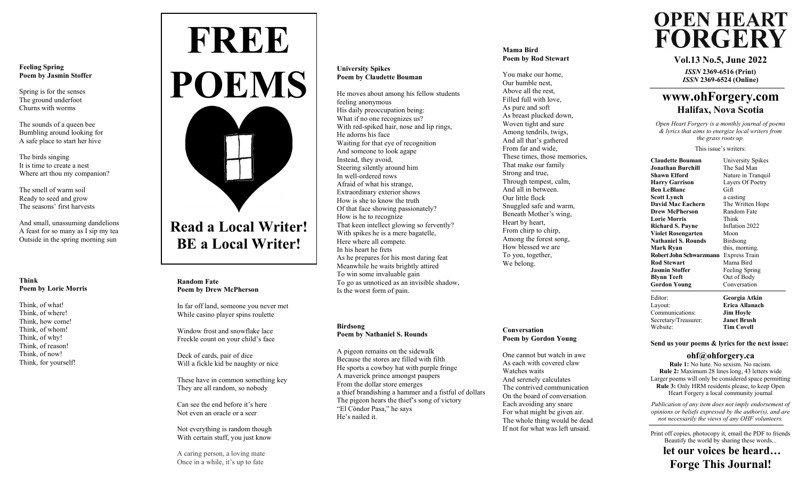#### Feeling Spring Poem by Jasmin Stoffer

Spring is for the senses The ground underfoot Churns with worms

The sounds of a queen bee Bumbling around looking for A safe place to start her hive

The birds singing It is time to create a nest Where art thou my companion?

The smell of warm soil Ready to seed and grow The seasons' first harvests

And small, unassuming dandelions A feast for so many as I sip my tea Outside in the spring morning sun

# Think Poem by Lorie Morris

 Think, how come! Think, of what! Think, of where! Think, of whom! Think, of why! Think, of reason! Think, of now! Think, for yourself!



# Read a Local Writer! BE a Local Writer!

#### Random Fate Poem by Drew McPherson

In far off land, someone you never met While casino player spins roulette

Window frost and snowflake lace Freckle count on your child's face

Deck of cards, pair of dice Will a fickle kid be naughty or nice

These have in common something key They are all random, so nobody

Can see the end before it's here Not even an oracle or a seer

Not everything is random though With certain stuff, you just know

A caring person, a loving mate Once in a while, it's up to fate

# University Spikes Poem by Claudette Bouman

He moves about among his fellow students feeling anonymous His daily preoccupation being: What if no one recognizes us? With red-spiked hair, nose and lip rings, He adorns his face Waiting for that eye of recognition And someone to look agape Instead, they avoid, Steering silently around him In well-ordered rows Afraid of what his strange, Extraordinary exterior shows How is she to know the truth Of that face showing passionately? How is he to recognize That keen intellect glowing so fervently? With spikes he is a mere bagatelle, Here where all compete. In his heart he frets As he prepares for his most daring feat Meanwhile he waits brightly attired To win some invaluable gain To go as unnoticed as an invisible shadow, Is the worst form of pain.

#### Birdsong Poem by Nathaniel S. Rounds

A pigeon remains on the sidewalk Because the stores are filled with filth He sports a cowboy hat with purple fringe A maverick prince amongst paupers From the dollar store emerges a thief brandishing a hammer and a fistful of dollars The pigeon hears the thief's song of victory "El Cóndor Pasa," he says He's nailed it.

# Mama Bird Poem by Rod Stewart

You make our home, Our humble nest, Above all the rest, Filled full with love, As pure and soft As breast plucked down, Woven tight and sure Among tendrils, twigs, And all that's gathered From far and wide, These times, those memories, That make our family Strong and true, Through tempest, calm, And all in between. Our little flock Snuggled safe and warm, Beneath Mother's wing, Heart by heart, From chirp to chirp, Among the forest song, How blessed we are To you, together, We belong.

# Conversation Poem by Gordon Young

One cannot but watch in awe As each with covered claw Watches waits And serenely calculates The contrived communication On the board of conversation. Each avoiding any snare For what might be given air. The whole thing would be dead If not for what was left unsaid.



Vol.13 No.5, June 2022 ISSN 2369-6516 (Print) ISSN 2369-6524 (Online)

# www.ohForgery.com Halifax, Nova Scotia

Open Heart Forgery is a monthly journal of poems & lyrics that aims to energize local writers from the grass roots up.

This issue's writers:

| <b>Claudette Bouman</b>  | University Spikes    |
|--------------------------|----------------------|
| Jonathan Burchill        | The Sad Man          |
| Shawn Elford             | Nature in Tranquil   |
| Harry Garrison           | Layers Of Poetry     |
| Ben LeBlanc              | Gift                 |
| Scott Lynch              | a casting            |
| <b>David Mac Eachern</b> | The Written Hope     |
| Drew McPherson           | Random Fate          |
| <b>Lorie Morris</b>      | Think                |
| Richard S. Pavne         | Inflation 2022       |
| Violet Rosengarten       | Moon                 |
| Nathaniel S. Rounds      | Birdsong             |
| Mark Ryan                | this, morning.       |
| Robert John Schwarzmann  | <b>Express Train</b> |
| Rod Stewart              | Mama Bird            |
| Jasmin Stoffer           | Feeling Spring       |
| Blynn Teeft              | Out of Body          |
| Gordon Young             | Conversation         |
| Editor:                  | Georgia Atkin        |
| Layout:                  | Erica Allanach       |

Communications: **Jim Hoyle**<br>Secretary/Treasurer: **Janet Brush** Secretary/Treasurer:<br>Website: Tim Covell

# Send us your poems & lyrics for the next issue:

# ohf@ohforgery.ca

Rule 1: No hate. No sexism. No racism. Rule 2: Maximum 28 lines long, 43 letters wide Larger poems will only be considered space permitting Rule 3: Only HRM residents please, to keep Open Heart Forgery a local community journal

Publication of any item does not imply endorsement of opinions or beliefs expressed by the author(s), and are not necessarily the views of any OHF volunteers.

Print off copies, photocopy it, email the PDF to friends Beautify the world by sharing these words... let our voices be heard… Forge This Journal!